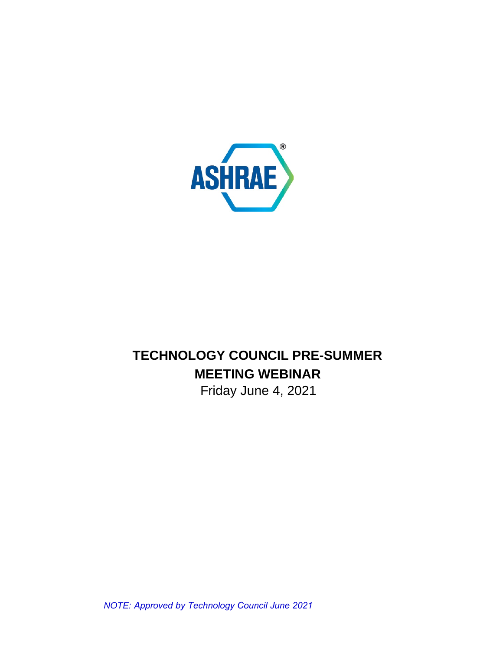

# **TECHNOLOGY COUNCIL PRE-SUMMER MEETING WEBINAR**

Friday June 4, 2021

*NOTE: Approved by Technology Council June 2021*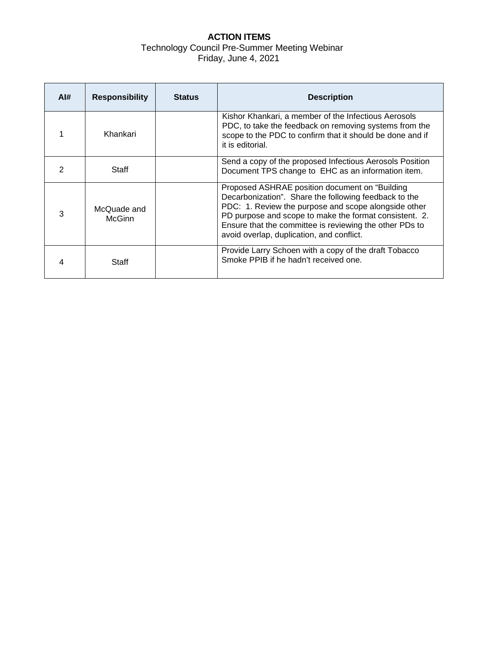## **ACTION ITEMS** Technology Council Pre-Summer Meeting Webinar Friday, June 4, 2021

| Al# | <b>Responsibility</b>        | <b>Status</b> | <b>Description</b>                                                                                                                                                                                                                                                                                                                 |
|-----|------------------------------|---------------|------------------------------------------------------------------------------------------------------------------------------------------------------------------------------------------------------------------------------------------------------------------------------------------------------------------------------------|
|     | Khankari                     |               | Kishor Khankari, a member of the Infectious Aerosols<br>PDC, to take the feedback on removing systems from the<br>scope to the PDC to confirm that it should be done and if<br>it is editorial.                                                                                                                                    |
|     | <b>Staff</b>                 |               | Send a copy of the proposed Infectious Aerosols Position<br>Document TPS change to EHC as an information item.                                                                                                                                                                                                                     |
| 3   | McQuade and<br><b>McGinn</b> |               | Proposed ASHRAE position document on "Building"<br>Decarbonization". Share the following feedback to the<br>PDC: 1. Review the purpose and scope alongside other<br>PD purpose and scope to make the format consistent. 2.<br>Ensure that the committee is reviewing the other PDs to<br>avoid overlap, duplication, and conflict. |
|     | Staff                        |               | Provide Larry Schoen with a copy of the draft Tobacco<br>Smoke PPIB if he hadn't received one.                                                                                                                                                                                                                                     |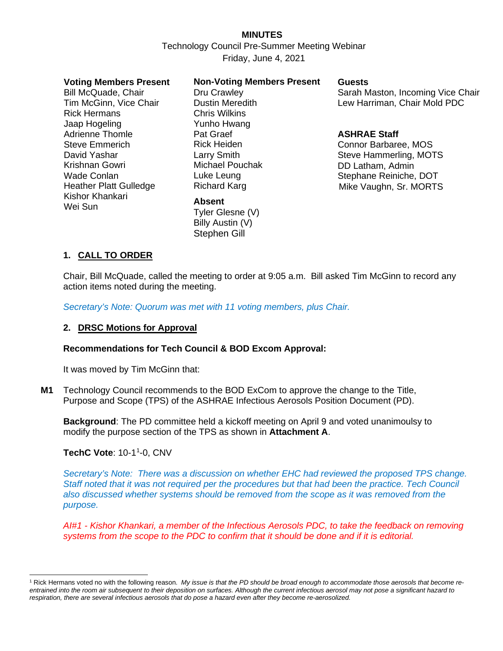## **MINUTES**

Technology Council Pre-Summer Meeting Webinar Friday, June 4, 2021

#### **Voting Members Present**

Bill McQuade, Chair Tim McGinn, Vice Chair Rick Hermans Jaap Hogeling Adrienne Thomle Steve Emmerich David Yashar Krishnan Gowri Wade Conlan Heather Platt Gulledge Kishor Khankari Wei Sun

#### **Non-Voting Members Present**

Dru Crawley Dustin Meredith Chris Wilkins Yunho Hwang Pat Graef Rick Heiden Larry Smith Michael Pouchak Luke Leung Richard Karg

#### **Absent**

Tyler Glesne (V) Billy Austin (V) Stephen Gill

#### **Guests**

Sarah Maston, Incoming Vice Chair Lew Harriman, Chair Mold PDC

#### **ASHRAE Staff**

Connor Barbaree, MOS Steve Hammerling, MOTS DD Latham, Admin Stephane Reiniche, DOT Mike Vaughn, Sr. MORTS

### **1. CALL TO ORDER**

Chair, Bill McQuade, called the meeting to order at 9:05 a.m. Bill asked Tim McGinn to record any action items noted during the meeting.

*Secretary's Note: Quorum was met with 11 voting members, plus Chair.*

#### **2. DRSC Motions for Approval**

#### **Recommendations for Tech Council & BOD Excom Approval:**

It was moved by Tim McGinn that:

**M1** Technology Council recommends to the BOD ExCom to approve the change to the Title, Purpose and Scope (TPS) of the ASHRAE Infectious Aerosols Position Document (PD).

**Background**: The PD committee held a kickoff meeting on April 9 and voted unanimoulsy to modify the purpose section of the TPS as shown in **Attachment A**.

**TechC Vote**: [1](#page-2-0)0-1<sup>1</sup>-0, CNV

*Secretary's Note: There was a discussion on whether EHC had reviewed the proposed TPS change. Staff noted that it was not required per the procedures but that had been the practice. Tech Council also discussed whether systems should be removed from the scope as it was removed from the purpose.*

*AI#1 - Kishor Khankari, a member of the Infectious Aerosols PDC, to take the feedback on removing systems from the scope to the PDC to confirm that it should be done and if it is editorial.*

<span id="page-2-0"></span><sup>1</sup> Rick Hermans voted no with the following reason. *My issue is that the PD should be broad enough to accommodate those aerosols that become reentrained into the room air subsequent to their deposition on surfaces. Although the current infectious aerosol may not pose a significant hazard to respiration, there are several infectious aerosols that do pose a hazard even after they become re-aerosolized.*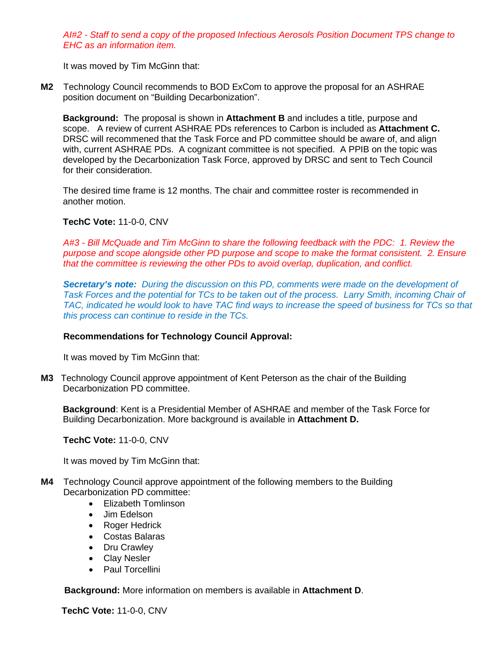*AI#2 - Staff to send a copy of the proposed Infectious Aerosols Position Document TPS change to EHC as an information item.*

It was moved by Tim McGinn that:

**M2** Technology Council recommends to BOD ExCom to approve the proposal for an ASHRAE position document on "Building Decarbonization".

**Background:** The proposal is shown in **Attachment B** and includes a title, purpose and scope. A review of current ASHRAE PDs references to Carbon is included as **Attachment C.** DRSC will recommened that the Task Force and PD committee should be aware of, and align with, current ASHRAE PDs. A cognizant committee is not specified. A PPIB on the topic was developed by the Decarbonization Task Force, approved by DRSC and sent to Tech Council for their consideration.

The desired time frame is 12 months. The chair and committee roster is recommended in another motion.

#### **TechC Vote:** 11-0-0, CNV

*A#3 - Bill McQuade and Tim McGinn to share the following feedback with the PDC: 1. Review the purpose and scope alongside other PD purpose and scope to make the format consistent. 2. Ensure that the committee is reviewing the other PDs to avoid overlap, duplication, and conflict.*

*Secretary's note: During the discussion on this PD, comments were made on the development of Task Forces and the potential for TCs to be taken out of the process. Larry Smith, incoming Chair of TAC, indicated he would look to have TAC find ways to increase the speed of business for TCs so that this process can continue to reside in the TCs.*

#### **Recommendations for Technology Council Approval:**

It was moved by Tim McGinn that:

**M3** Technology Council approve appointment of Kent Peterson as the chair of the Building Decarbonization PD committee.

**Background**: Kent is a Presidential Member of ASHRAE and member of the Task Force for Building Decarbonization. More background is available in **Attachment D.**

 **TechC Vote:** 11-0-0, CNV

It was moved by Tim McGinn that:

- **M4** Technology Council approve appointment of the following members to the Building Decarbonization PD committee:
	- Elizabeth Tomlinson
	- Jim Edelson
	- Roger Hedrick
	- Costas Balaras
	- Dru Crawley
	- Clay Nesler
	- Paul Torcellini

 **Background:** More information on members is available in **Attachment D**.

**TechC Vote:** 11-0-0, CNV